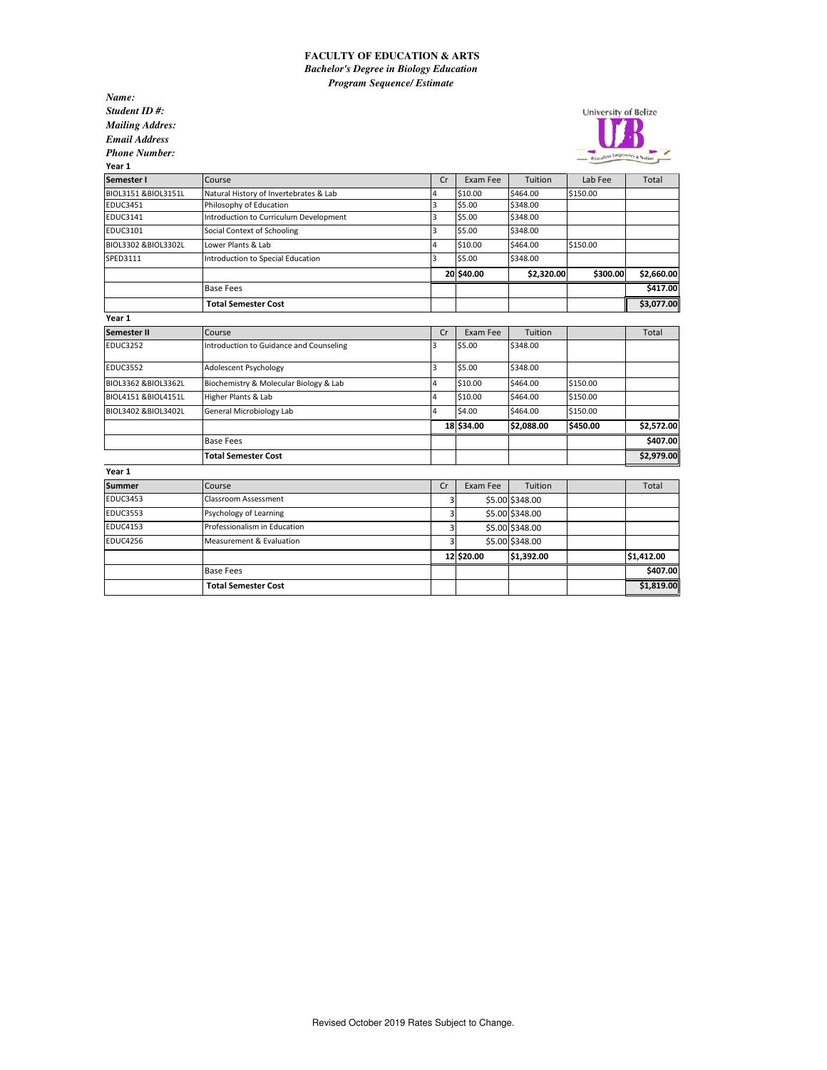## **FACULTY OF EDUCATION & ARTS** *Bachelor's Degree in Biology Education Program Sequence/ Estimate*

*Name: Student ID #: Mailing Addres: Email Address Phone Number:*



| Year 1              |                                         |                |            |                 |          |            |
|---------------------|-----------------------------------------|----------------|------------|-----------------|----------|------------|
| Semester I          | Course                                  | Cr             | Exam Fee   | Tuition         | Lab Fee  | Total      |
| BIOL3151 &BIOL3151L | Natural History of Invertebrates & Lab  | 4              | \$10.00    | \$464.00        | \$150.00 |            |
| <b>EDUC3451</b>     | Philosophy of Education                 | 3              | \$5.00     | \$348.00        |          |            |
| <b>EDUC3141</b>     | Introduction to Curriculum Development  | 3              | \$5.00     | \$348.00        |          |            |
| <b>EDUC3101</b>     | Social Context of Schooling             | 3              | \$5.00     | \$348.00        |          |            |
| BIOL3302 &BIOL3302L | Lower Plants & Lab                      | $\overline{4}$ | \$10.00    | \$464.00        | \$150.00 |            |
| SPED3111            | Introduction to Special Education       | 3              | \$5.00     | \$348.00        |          |            |
|                     |                                         |                | 20 \$40.00 | \$2,320.00      | \$300.00 | \$2,660.00 |
|                     | <b>Base Fees</b>                        |                |            |                 |          | \$417.00   |
|                     | <b>Total Semester Cost</b>              |                |            |                 |          | \$3,077.00 |
| Year 1              |                                         |                |            |                 |          |            |
| <b>Semester II</b>  | Course                                  | Cr             | Exam Fee   | Tuition         |          | Total      |
| <b>EDUC3252</b>     | Introduction to Guidance and Counseling | 3              | \$5.00     | \$348.00        |          |            |
| <b>EDUC3552</b>     | Adolescent Psychology                   | 3              | \$5.00     | \$348.00        |          |            |
| BIOL3362 &BIOL3362L | Biochemistry & Molecular Biology & Lab  | $\overline{4}$ | \$10.00    | \$464.00        | \$150.00 |            |
| BIOL4151 &BIOL4151L | Higher Plants & Lab                     | 4              | \$10.00    | \$464.00        | \$150.00 |            |
| BIOL3402 &BIOL3402L | General Microbiology Lab                | 4              | \$4.00     | \$464.00        | \$150.00 |            |
|                     |                                         |                | 18 \$34.00 | \$2,088.00      | \$450.00 | \$2,572.00 |
|                     | <b>Base Fees</b>                        |                |            |                 |          | \$407.00   |
|                     | <b>Total Semester Cost</b>              |                |            |                 |          | \$2,979.00 |
| Year 1              |                                         |                |            |                 |          |            |
| <b>Summer</b>       | Course                                  | Cr             | Exam Fee   | Tuition         |          | Total      |
| <b>EDUC3453</b>     | Classroom Assessment                    | 3              |            | \$5.00 \$348.00 |          |            |
| <b>EDUC3553</b>     | Psychology of Learning                  | 3              |            | \$5.00 \$348.00 |          |            |
| <b>EDUC4153</b>     | Professionalism in Education            | 3              |            | \$5.00 \$348.00 |          |            |
| <b>EDUC4256</b>     | Measurement & Evaluation                |                |            | \$5.00 \$348.00 |          |            |
|                     |                                         |                | 12 \$20.00 | \$1,392.00      |          | \$1,412.00 |
|                     | <b>Base Fees</b>                        |                |            |                 |          | \$407.00   |
|                     | <b>Total Semester Cost</b>              |                |            |                 |          | \$1,819.00 |